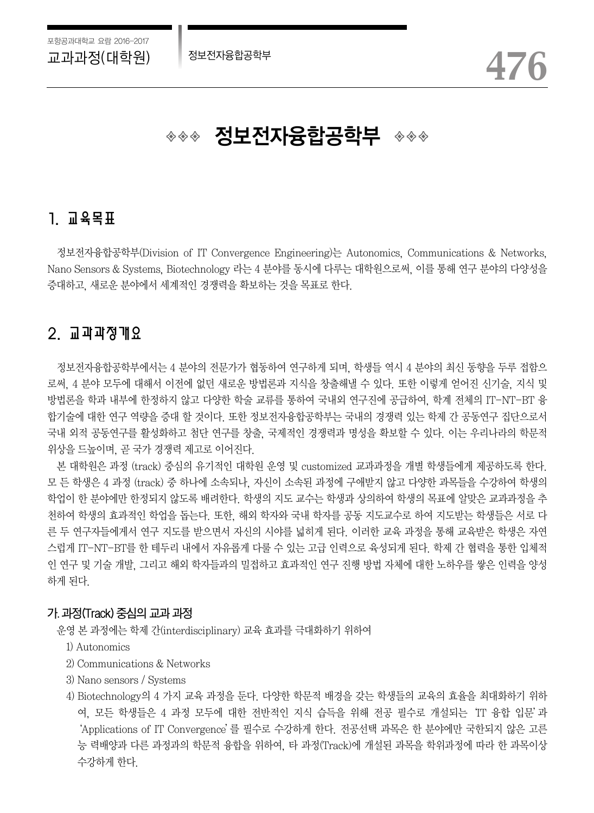# ◈◈◈ **정보전자융합공학부** ◈◈◈

## 1. 교육목표

정보전자융합공학부(Division of IT Convergence Engineering)는 Autonomics, Communications & Networks, Nano Sensors & Systems, Biotechnology 라는 4 분야를 동시에 다루는 대학원으로써, 이를 통해 연구 분야의 다양성을 증대하고, 새로운 분야에서 세계적인 경쟁력을 확보하는 것을 목표로 한다.

## 2. 교과과정개요

정보전자융합공학부에서는 4 분야의 전문가가 협동하여 연구하게 되며, 학생들 역시 4 분야의 최신 동향을 두루 접함으 로써, 4 분야 모두에 대해서 이전에 없던 새로운 방법론과 지식을 창출해낼 수 있다. 또한 이렇게 얻어진 신기술, 지식 및 방법론을 학과 내부에 한정하지 않고 다양한 학술 교류를 통하여 국내외 연구진에 공급하여, 학계 전체의 IT-NT-BT 융 합기술에 대한 연구 역량을 증대 할 것이다. 또한 정보전자융합공학부는 국내의 경쟁력 있는 학제 간 공동연구 집단으로서 국내 외적 공동연구를 활성화하고 첨단 연구를 창출, 국제적인 경쟁력과 명성을 확보할 수 있다. 이는 우리나라의 학문적 위상을 드높이며, 곧 국가 경쟁력 제고로 이어진다.

본 대학원은 과정 (track) 중심의 유기적인 대학원 운영 및 customized 교과과정을 개별 학생들에게 제공하도록 한다. 모 든 학생은 4 과정 (track) 중 하나에 소속되나, 자신이 소속된 과정에 구애받지 않고 다양한 과목들을 수강하여 학생의 학업이 한 분야에만 한정되지 않도록 배려한다. 학생의 지도 교수는 학생과 상의하여 학생의 목표에 알맞은 교과과정을 추 천하여 학생의 효과적인 학업을 돕는다. 또한, 해외 학자와 국내 학자를 공동 지도교수로 하여 지도받는 학생들은 서로 다 른 두 연구자들에게서 연구 지도를 받으면서 자신의 시야를 넓히게 된다. 이러한 교육 과정을 통해 교육받은 학생은 자연 스럽게 IT-NT-BT를 한 테두리 내에서 자유롭게 다룰 수 있는 고급 인력으로 육성되게 된다. 학제 간 협력을 통한 입체적 인 연구 및 기술 개발, 그리고 해외 학자들과의 밀접하고 효과적인 연구 진행 방법 자체에 대한 노하우를 쌓은 인력을 양성 하게 된다.

#### 가. 과정(Track) 중심의 교과 과정

운영 본 과정에는 학제 간(interdisciplinary) 교육 효과를 극대화하기 위하여

- 1) Autonomics
- 2) Communications & Networks
- 3) Nano sensors / Systems
- 4) Biotechnology의 4 가지 교육 과정을 둔다. 다양한 학문적 배경을 갖는 학생들의 교육의 효율을 최대화하기 위하 여, 모든 학생들은 4 과정 모두에 대한 전반적인 지식 습득을 위해 전공 필수로 개설되는'IT 융합 입문'과 'Applications of IT Convergence'를 필수로 수강하게 한다. 전공선택 과목은 한 분야에만 국한되지 않은 고른 능 력배양과 다른 과정과의 학문적 융합을 위하여, 타 과정(Track)에 개설된 과목을 학위과정에 따라 한 과목이상 수강하게 한다.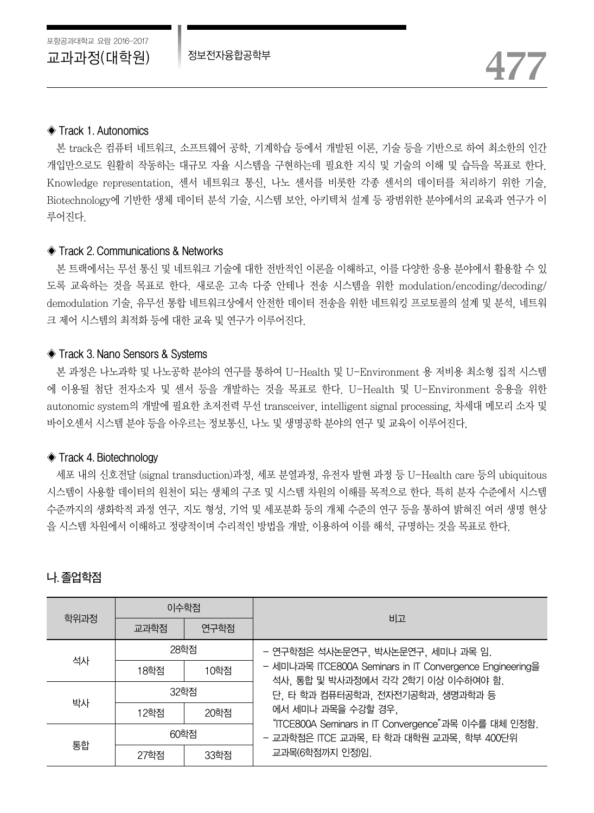#### ◈ Track 1. Autonomics

본 track은 컴퓨터 네트워크, 소프트웨어 공학, 기계학습 등에서 개발된 이론, 기술 등을 기반으로 하여 최소한의 인간 개입만으로도 원활히 작동하는 대규모 자율 시스템을 구현하는데 필요한 지식 및 기술의 이해 및 습득을 목표로 한다. Knowledge representation, 센서 네트워크 통신, 나노 센서를 비롯한 각종 센서의 데이터를 처리하기 위한 기술, Biotechnology에 기반한 생체 데이터 분석 기술, 시스템 보안, 아키텍처 설계 등 광범위한 분야에서의 교육과 연구가 이 루어진다.

#### ◈ Track 2. Communications & Networks

본 트랙에서는 무선 통신 및 네트워크 기술에 대한 전반적인 이론을 이해하고, 이를 다양한 응용 분야에서 활용할 수 있 도록 교육하는 것을 목표로 한다. 새로운 고속 다중 안테나 전송 시스템을 위한 modulation/encoding/decoding/ demodulation 기술, 유무선 통합 네트워크상에서 안전한 데이터 전송을 위한 네트워킹 프로토콜의 설계 및 분석, 네트워 크 제어 시스템의 최적화 등에 대한 교육 및 연구가 이루어진다.

#### ◈ Track 3. Nano Sensors & Systems

본 과정은 나노과학 및 나노공학 분야의 연구를 통하여 U-Health 및 U-Environment 용 저비용 최소형 집적 시스템 에 이용될 첨단 전자소자 및 센서 등을 개발하는 것을 목표로 한다. U-Health 및 U-Environment 응용을 위한 autonomic system의 개발에 필요한 초저전력 무선 transceiver, intelligent signal processing, 차세대 메모리 소자 및 바이오센서 시스템 분야 등을 아우르는 정보통신, 나노 및 생명공학 분야의 연구 및 교육이 이루어진다.

#### ◈ Track 4. Biotechnology

세포 내의 신호전달 (signal transduction)과정, 세포 분열과정, 유전자 발현 과정 등 U-Health care 등의 ubiquitous 시스템이 사용할 데이터의 원천이 되는 생체의 구조 및 시스템 차원의 이해를 목적으로 한다. 특히 분자 수준에서 시스템 수준까지의 생화학적 과정 연구, 지도 형성, 기억 및 세포분화 등의 개체 수준의 연구 등을 통하여 밝혀진 여러 생명 현상 을 시스템 차원에서 이해하고 정량적이며 수리적인 방법을 개발, 이용하여 이를 해석, 규명하는 것을 목표로 한다.

#### 나. 졸업학점

|      | 이수학점 |      |                                                                                                 |  |  |  |
|------|------|------|-------------------------------------------------------------------------------------------------|--|--|--|
| 학위과정 | 교과학점 | 연구학점 | 비고                                                                                              |  |  |  |
| 석사   | 28학점 |      | - 연구학점은 석사논문연구, 박사논문연구, 세미나 과목 임.                                                               |  |  |  |
|      | 18학점 | 10학점 | - 세미나과목 ITCE800A Seminars in IT Convergence Engineering을<br>석사, 통합 및 박사과정에서 각각 2학기 이상 이수하여야 함.  |  |  |  |
| 박사   | 32학점 |      | 단, 타 학과 컴퓨터공학과, 전자전기공학과, 생명과학과 등                                                                |  |  |  |
|      | 12학점 | 20학점 | 에서 세미나 과목을 수강할 경우,                                                                              |  |  |  |
|      | 60학점 |      | "ITCE800A Seminars in IT Convergence"과목 이수를 대체 인정함.<br>- 교과학점은 ITCE 교과목, 타 학과 대학원 교과목, 학부 400단위 |  |  |  |
| 통합   | 27학점 | 33학점 | 교과목(6학점까지 인정)임.                                                                                 |  |  |  |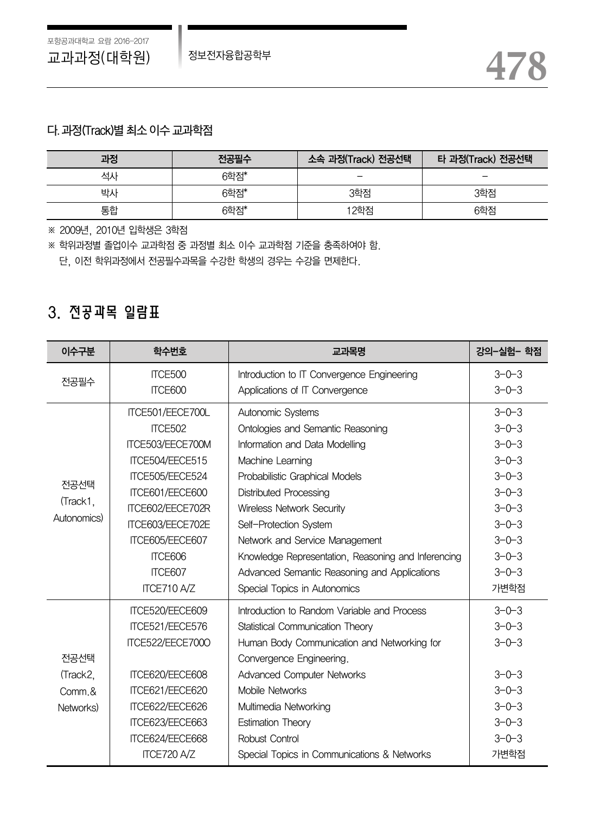#### 다. 과정(Track)별 최소 이수 교과학점

| 과정 | 전공필수 | 소속 과정(Track) 전공선택<br>타 과정(Track) 전공선택 |     |
|----|------|---------------------------------------|-----|
| 석시 | 6학점* | $\overline{\phantom{0}}$              | -   |
| 박사 | 6학점* | 3학점                                   | 3학점 |
| 통합 | 6학점* | 12학점                                  | 6학점 |

※ 2009년, 2010년 입학생은 3학점

※ 학위과정별 졸업이수 교과학점 중 과정별 최소 이수 교과학점 기준을 충족하여야 함.

단, 이전 학위과정에서 전공필수과목을 수강한 학생의 경우는 수강을 면제한다.

## 3. 전공과목 일람표

| 이수구분        | 학수번호                                                           | 교과목명                                                | 강의-실험- 학점   |
|-------------|----------------------------------------------------------------|-----------------------------------------------------|-------------|
| ITCE500     |                                                                | Introduction to IT Convergence Engineering          | $3 - 0 - 3$ |
| 전공필수        | <b>ITCE600</b>                                                 | Applications of IT Convergence                      | $3 - 0 - 3$ |
|             | ITCE501/EECE700L                                               | Autonomic Systems                                   | $3 - 0 - 3$ |
|             | ITCE502                                                        | Ontologies and Semantic Reasoning                   | $3 - 0 - 3$ |
|             | ITCE503/EECE700M                                               | Information and Data Modelling                      | $3 - 0 - 3$ |
|             | ITCE504/EECE515                                                | Machine Learning                                    | $3 - 0 - 3$ |
|             | ITCE505/EECE524                                                | Probabilistic Graphical Models                      | $3 - 0 - 3$ |
| 전공선택        | ITCE601/EECE600                                                | <b>Distributed Processing</b>                       | $3 - 0 - 3$ |
| (Track1,    | ITCE602/EECE702R                                               | Wireless Network Security                           | $3 - 0 - 3$ |
| Autonomics) | ITCE603/EECE702E                                               | Self-Protection System                              | $3 - 0 - 3$ |
|             | ITCE605/EECE607                                                | Network and Service Management                      | $3 - 0 - 3$ |
|             | ITCE606                                                        | Knowledge Representation, Reasoning and Inferencing | $3 - 0 - 3$ |
|             | ITCE607                                                        | Advanced Semantic Reasoning and Applications        | $3 - 0 - 3$ |
|             | ITCE710 A/Z                                                    | Special Topics in Autonomics                        | 가변학점        |
|             | ITCE520/EECE609<br>Introduction to Random Variable and Process |                                                     | $3 - 0 - 3$ |
|             | ITCE521/EECE576                                                | Statistical Communication Theory                    | $3 - 0 - 3$ |
|             | ITCE522/EECE7000                                               | Human Body Communication and Networking for         | $3 - 0 - 3$ |
| 전공선택        |                                                                | Convergence Engineering.                            |             |
| (Track2,    | ITCE620/EECE608                                                | <b>Advanced Computer Networks</b>                   | $3 - 0 - 3$ |
| Comm.&      | ITCE621/EECE620                                                | Mobile Networks                                     | $3 - 0 - 3$ |
| Networks)   | ITCE622/EECE626                                                | Multimedia Networking                               | $3 - 0 - 3$ |
|             | ITCE623/EECE663                                                | <b>Estimation Theory</b>                            | $3 - 0 - 3$ |
|             | ITCE624/EECE668                                                | Robust Control                                      | $3 - 0 - 3$ |
| ITCE720 A/Z |                                                                | Special Topics in Communications & Networks         | 가변학점        |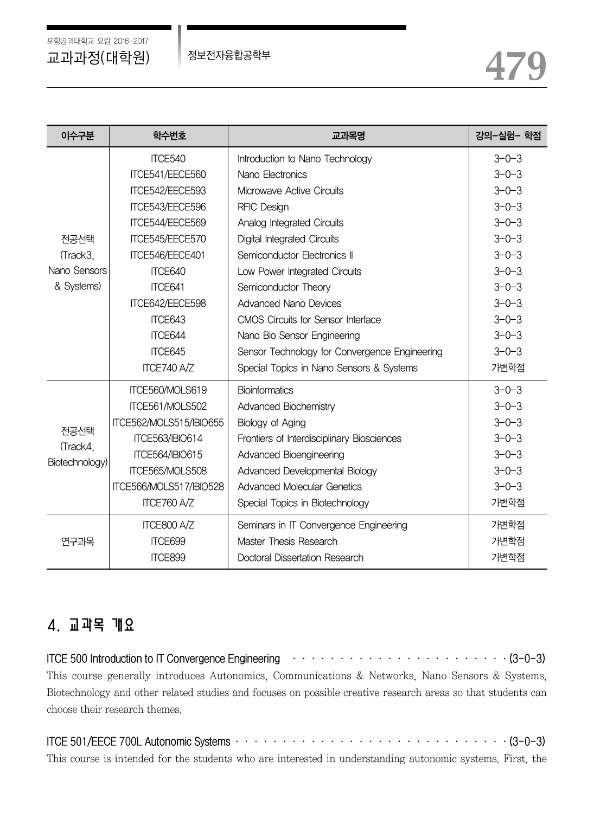포항공과대학교 요람 2016-2017

| 이수구분           | 학수번호                    | 교과목명                                          | 강의-실험- 학점   |
|----------------|-------------------------|-----------------------------------------------|-------------|
|                | ITCE540                 | Introduction to Nano Technology               | $3 - 0 - 3$ |
|                | ITCE541/EECE560         | Nano Flectronics                              | $3 - 0 - 3$ |
|                | ITCE542/EECE593         | Microwave Active Circuits                     | $3 - 0 - 3$ |
|                | ITCE543/EECE596         | <b>RFIC Design</b>                            | $3 - 0 - 3$ |
|                | ITCE544/EECE569         | Analog Integrated Circuits                    | $3 - 0 - 3$ |
| 전공선택           | ITCE545/EECE570         | Digital Integrated Circuits                   | $3 - 0 - 3$ |
| (Track3,       | ITCE546/EECE401         | Semiconductor Flectronics II                  | $3 - 0 - 3$ |
| Nano Sensors   | ITCE640                 | Low Power Integrated Circuits                 | $3 - 0 - 3$ |
| & Systems)     | ITCE641                 | Semiconductor Theory                          | $3 - 0 - 3$ |
|                | ITCE642/EECE598         | <b>Advanced Nano Devices</b>                  | $3 - 0 - 3$ |
|                | ITCE643                 | CMOS Circuits for Sensor Interface            | $3 - 0 - 3$ |
|                | ITCE644                 | Nano Bio Sensor Engineering                   | $3 - 0 - 3$ |
|                | ITCE645                 | Sensor Technology for Convergence Engineering | $3 - 0 - 3$ |
| ITCE740 A/Z    |                         | Special Topics in Nano Sensors & Systems      | 가변학점        |
|                | ITCE560/MOLS619         | <b>Bioinformatics</b>                         | $3 - 0 - 3$ |
|                | ITCE561/MOLS502         | Advanced Biochemistry                         | $3 - 0 - 3$ |
| 전공선택           | ITCE562/MOLS515/IBIO655 | Biology of Aging                              | $3 - 0 - 3$ |
| (Track4,       | <b>ITCE563/IBIO614</b>  | Frontiers of Interdisciplinary Biosciences    | $3 - 0 - 3$ |
| Biotechnology) | <b>ITCE564/IBIO615</b>  | Advanced Bioengineering                       | $3 - 0 - 3$ |
|                | ITCE565/MOLS508         | Advanced Developmental Biology                | $3 - 0 - 3$ |
|                | ITCE566/MOLS517/IBIO528 | <b>Advanced Molecular Genetics</b>            | $3 - 0 - 3$ |
|                | ITCE760 A/Z             | Special Topics in Biotechnology               | 가변학점        |
|                | ITCE800 A/Z             | Seminars in IT Convergence Engineering        | 가변학점        |
| 연구과목           | ITCE699                 | Master Thesis Research                        | 가변학점        |
|                | ITCE899                 | Doctoral Dissertation Research                | 가변학점        |

## 4. 교과목 개요

ITCE 500 Introduction to IT Convergence Engineering  $\cdots \cdots \cdots \cdots \cdots \cdots \cdots \cdots \cdots \cdots \cdots (3-0-3)$ This course generally introduces Autonomics, Communications & Networks, Nano Sensors & Systems, Biotechnology and other related studies and focuses on possible creative research areas so that students can choose their research themes.

| ITCE 501/EECE 700L Autonomic Systems $\cdots$ and $\cdots$ and $\cdots$ and $\cdots$ and $\cdots$ and $\cdots$ (3-0-3) |  |
|------------------------------------------------------------------------------------------------------------------------|--|
| This course is intended for the students who are interested in understanding autonomic systems. First, the             |  |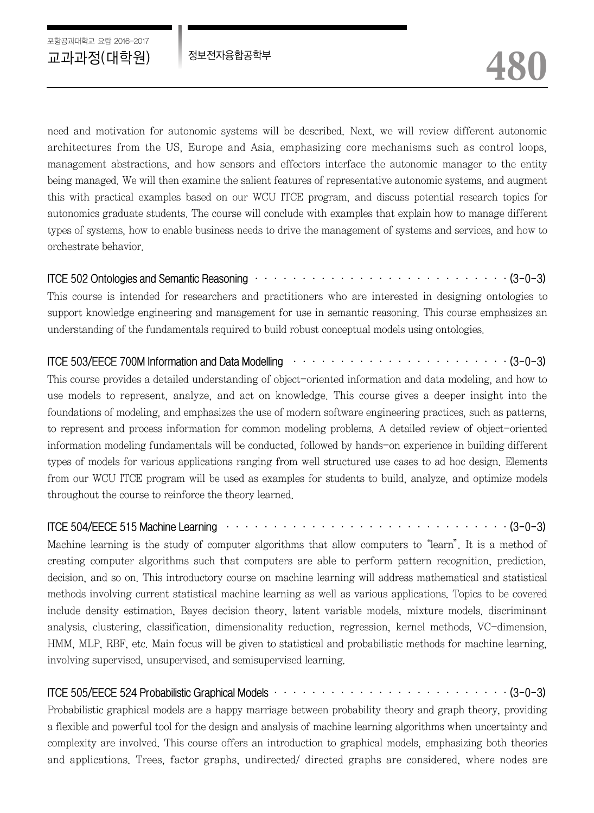need and motivation for autonomic systems will be described. Next, we will review different autonomic architectures from the US, Europe and Asia, emphasizing core mechanisms such as control loops, management abstractions, and how sensors and effectors interface the autonomic manager to the entity being managed. We will then examine the salient features of representative autonomic systems, and augment this with practical examples based on our WCU ITCE program, and discuss potential research topics for autonomics graduate students. The course will conclude with examples that explain how to manage different types of systems, how to enable business needs to drive the management of systems and services, and how to orchestrate behavior.

#### ITCE 502 Ontologies and Semantic Reasoning  $\cdots \cdots \cdots \cdots \cdots \cdots \cdots \cdots \cdots \cdots \cdots \cdots (3-0-3)$

This course is intended for researchers and practitioners who are interested in designing ontologies to support knowledge engineering and management for use in semantic reasoning. This course emphasizes an understanding of the fundamentals required to build robust conceptual models using ontologies.

#### ITCE 503/EECE 700M Information and Data Modelling  $\cdots \cdots \cdots \cdots \cdots \cdots \cdots \cdots \cdots \cdots \cdots$  (3-0-3)

This course provides a detailed understanding of object-oriented information and data modeling, and how to use models to represent, analyze, and act on knowledge. This course gives a deeper insight into the foundations of modeling, and emphasizes the use of modern software engineering practices, such as patterns, to represent and process information for common modeling problems. A detailed review of object-oriented information modeling fundamentals will be conducted, followed by hands-on experience in building different types of models for various applications ranging from well structured use cases to ad hoc design. Elements from our WCU ITCE program will be used as examples for students to build, analyze, and optimize models throughout the course to reinforce the theory learned.

#### ITCE 504/EECE 515 Machine Learning ······························(3-0-3)

Machine learning is the study of computer algorithms that allow computers to "learn". It is a method of creating computer algorithms such that computers are able to perform pattern recognition, prediction, decision, and so on. This introductory course on machine learning will address mathematical and statistical methods involving current statistical machine learning as well as various applications. Topics to be covered include density estimation, Bayes decision theory, latent variable models, mixture models, discriminant analysis, clustering, classification, dimensionality reduction, regression, kernel methods, VC-dimension, HMM, MLP, RBF, etc. Main focus will be given to statistical and probabilistic methods for machine learning, involving supervised, unsupervised, and semisupervised learning.

### ITCE 505/EECE 524 Probabilistic Graphical Models ·························(3-0-3)

Probabilistic graphical models are a happy marriage between probability theory and graph theory, providing a flexible and powerful tool for the design and analysis of machine learning algorithms when uncertainty and complexity are involved. This course offers an introduction to graphical models, emphasizing both theories and applications. Trees, factor graphs, undirected/ directed graphs are considered, where nodes are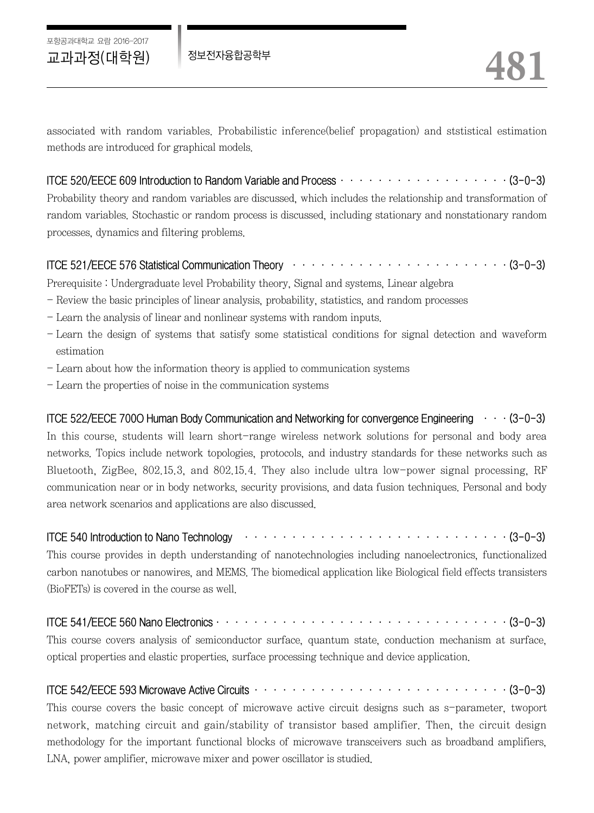포항공과대학교 요람 2016-2017

associated with random variables. Probabilistic inference(belief propagation) and ststistical estimation methods are introduced for graphical models.

## ITCE 520/EECE 609 Introduction to Random Variable and Process  $\cdots \cdots \cdots \cdots \cdots \cdots \cdots$  (3-0-3) Probability theory and random variables are discussed, which includes the relationship and transformation of random variables. Stochastic or random process is discussed, including stationary and nonstationary random processes, dynamics and filtering problems.

### ITCE 521/EECE 576 Statistical Communication Theory ·······················(3-0-3)

Prerequisite : Undergraduate level Probability theory, Signal and systems, Linear algebra

- Review the basic principles of linear analysis, probability, statistics, and random processes
- Learn the analysis of linear and nonlinear systems with random inputs.
- Learn the design of systems that satisfy some statistical conditions for signal detection and waveform estimation
- Learn about how the information theory is applied to communication systems
- Learn the properties of noise in the communication systems

ITCE 522/EECE 7000 Human Body Communication and Networking for convergence Engineering  $\cdots$  (3-0-3) In this course, students will learn short-range wireless network solutions for personal and body area networks. Topics include network topologies, protocols, and industry standards for these networks such as Bluetooth, ZigBee, 802.15.3, and 802.15.4. They also include ultra low-power signal processing, RF communication near or in body networks, security provisions, and data fusion techniques. Personal and body area network scenarios and applications are also discussed.

ITCE 540 Introduction to Nano Technology  $\cdots \cdots \cdots \cdots \cdots \cdots \cdots \cdots \cdots \cdots \cdots \cdots \cdots (3-0-3)$ 

This course provides in depth understanding of nanotechnologies including nanoelectronics, functionalized carbon nanotubes or nanowires, and MEMS. The biomedical application like Biological field effects transisters (BioFETs) is covered in the course as well.

#### ITCE 541/EECE 560 Nano Electronics·······························(3-0-3)

This course covers analysis of semiconductor surface, quantum state, conduction mechanism at surface, optical properties and elastic properties, surface processing technique and device application.

#### ITCE 542/EECE 593 Microwave Active Circuits···························(3-0-3)

This course covers the basic concept of microwave active circuit designs such as s-parameter, twoport network, matching circuit and gain/stability of transistor based amplifier. Then, the circuit design methodology for the important functional blocks of microwave transceivers such as broadband amplifiers, LNA, power amplifier, microwave mixer and power oscillator is studied.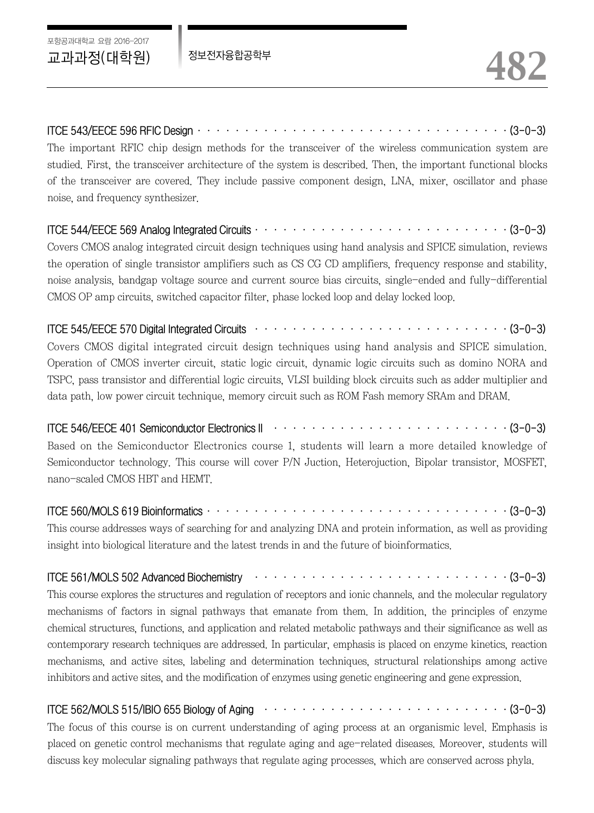ITCE 543/EECE 596 RFIC Design·································(3-0-3)

The important RFIC chip design methods for the transceiver of the wireless communication system are studied. First, the transceiver architecture of the system is described. Then, the important functional blocks of the transceiver are covered. They include passive component design, LNA, mixer, oscillator and phase noise, and frequency synthesizer.

#### ITCE 544/EECE 569 Analog Integrated Circuits···························(3-0-3)

Covers CMOS analog integrated circuit design techniques using hand analysis and SPICE simulation, reviews the operation of single transistor amplifiers such as CS CG CD amplifiers, frequency response and stability, noise analysis, bandgap voltage source and current source bias circuits, single-ended and fully-differential CMOS OP amp circuits, switched capacitor filter, phase locked loop and delay locked loop.

ITCE 545/EECE 570 Digital Integrated Circuits ···························(3-0-3)

Covers CMOS digital integrated circuit design techniques using hand analysis and SPICE simulation. Operation of CMOS inverter circuit, static logic circuit, dynamic logic circuits such as domino NORA and TSPC, pass transistor and differential logic circuits, VLSI building block circuits such as adder multiplier and data path, low power circuit technique, memory circuit such as ROM Fash memory SRAm and DRAM.

ITCE 546/EECE 401 Semiconductor Electronics II ·························(3-0-3)

Based on the Semiconductor Electronics course 1, students will learn a more detailed knowledge of Semiconductor technology. This course will cover P/N Juction, Heterojuction, Bipolar transistor, MOSFET, nano-scaled CMOS HBT and HEMT.

#### ITCE 560/MOLS 619 Bioinformatics································(3-0-3)

This course addresses ways of searching for and analyzing DNA and protein information, as well as providing insight into biological literature and the latest trends in and the future of bioinformatics.

ITCE 561/MOLS 502 Advanced Biochemistry  $\cdots \cdots \cdots \cdots \cdots \cdots \cdots \cdots \cdots \cdots \cdots \cdots$  (3-0-3)

This course explores the structures and regulation of receptors and ionic channels, and the molecular regulatory mechanisms of factors in signal pathways that emanate from them. In addition, the principles of enzyme chemical structures, functions, and application and related metabolic pathways and their significance as well as contemporary research techniques are addressed. In particular, emphasis is placed on enzyme kinetics, reaction mechanisms, and active sites, labeling and determination techniques, structural relationships among active inhibitors and active sites, and the modification of enzymes using genetic engineering and gene expression.

ITCE 562/MOLS 515/IBIO 655 Biology of Aging ··························(3-0-3)

The focus of this course is on current understanding of aging process at an organismic level. Emphasis is placed on genetic control mechanisms that regulate aging and age-related diseases. Moreover, students will discuss key molecular signaling pathways that regulate aging processes, which are conserved across phyla.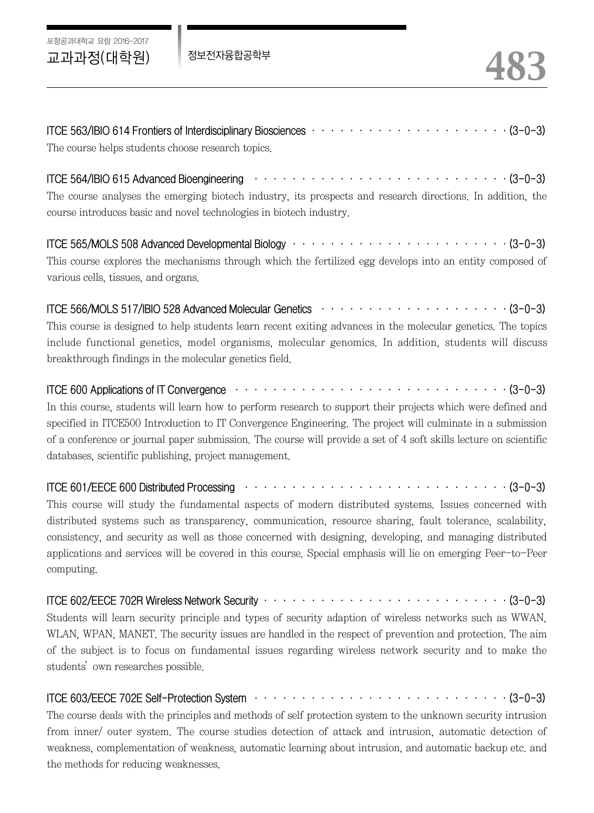포항공과대학교 요람 2016-2017

| ITCE 563/IBIO 614 Frontiers of Interdisciplinary Biosciences $\cdots \cdots \cdots \cdots \cdots \cdots \cdots \cdots \cdots \cdots (3-0-3)$ |  |  |  |
|----------------------------------------------------------------------------------------------------------------------------------------------|--|--|--|
| The course helps students choose research topics.                                                                                            |  |  |  |

ITCE 564/IBIO 615 Advanced Bioengineering  $\cdots \cdots \cdots \cdots \cdots \cdots \cdots \cdots \cdots \cdots \cdots \cdots$  (3-0-3) The course analyses the emerging biotech industry, its prospects and research directions. In addition, the course introduces basic and novel technologies in biotech industry.

ITCE 565/MOLS 508 Advanced Developmental Biology ·······················(3-0-3) This course explores the mechanisms through which the fertilized egg develops into an entity composed of various cells, tissues, and organs.

ITCE 566/MOLS 517/IBIO 528 Advanced Molecular Genetics  $\cdots \cdots \cdots \cdots \cdots \cdots \cdots$ This course is designed to help students learn recent exiting advances in the molecular genetics. The topics include functional genetics, model organisms, molecular genomics. In addition, students will discuss breakthrough findings in the molecular genetics field.

ITCE 600 Applications of IT Convergence ·····························(3-0-3)

In this course, students will learn how to perform research to support their projects which were defined and specified in ITCE500 Introduction to IT Convergence Engineering. The project will culminate in a submission of a conference or journal paper submission. The course will provide a set of 4 soft skills lecture on scientific databases, scientific publishing, project management.

ITCE 601/EECE 600 Distributed Processing ····························(3-0-3)

This course will study the fundamental aspects of modern distributed systems. Issues concerned with distributed systems such as transparency, communication, resource sharing, fault tolerance, scalability, consistency, and security as well as those concerned with designing, developing, and managing distributed applications and services will be covered in this course. Special emphasis will lie on emerging Peer-to-Peer computing.

ITCE 602/EECE 702R Wireless Network Security ··························(3-0-3)

Students will learn security principle and types of security adaption of wireless networks such as WWAN, WLAN, WPAN, MANET. The security issues are handled in the respect of prevention and protection. The aim of the subject is to focus on fundamental issues regarding wireless network security and to make the students'own researches possible.

ITCE 603/EECE 702E Self-Protection System  $\cdots \cdots \cdots \cdots \cdots \cdots \cdots \cdots \cdots \cdots \cdots \cdots$  (3-0-3)

The course deals with the principles and methods of self protection system to the unknown security intrusion from inner/ outer system. The course studies detection of attack and intrusion, automatic detection of weakness, complementation of weakness, automatic learning about intrusion, and automatic backup etc. and the methods for reducing weaknesses.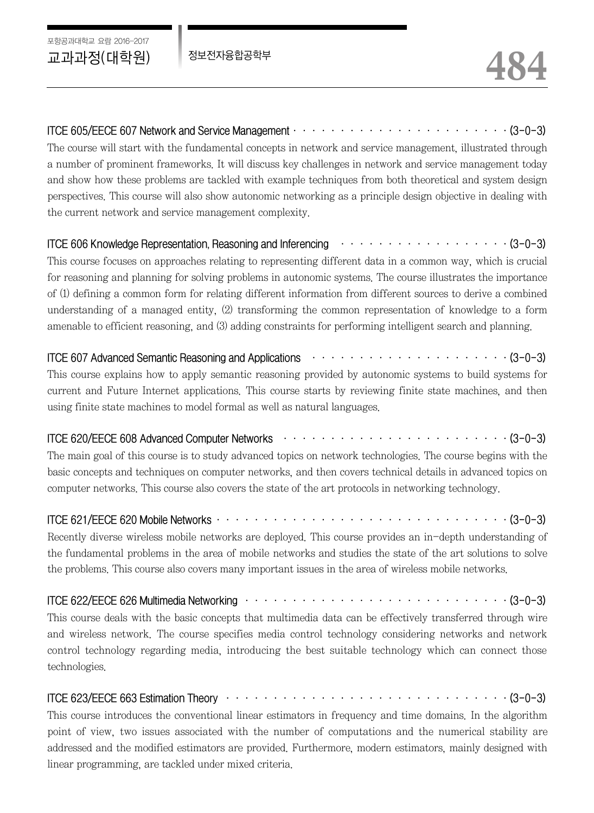ITCE 605/EECE 607 Network and Service Management  $\cdots \cdots \cdots \cdots \cdots \cdots \cdots \cdots \cdots \cdots \cdots$  (3-0-3) The course will start with the fundamental concepts in network and service management, illustrated through a number of prominent frameworks. It will discuss key challenges in network and service management today and show how these problems are tackled with example techniques from both theoretical and system design perspectives. This course will also show autonomic networking as a principle design objective in dealing with the current network and service management complexity.

ITCE 606 Knowledge Representation, Reasoning and Inferencing  $\cdots \cdots \cdots \cdots \cdots \cdots \cdots \cdots$  (3-0-3) This course focuses on approaches relating to representing different data in a common way, which is crucial for reasoning and planning for solving problems in autonomic systems. The course illustrates the importance of (1) defining a common form for relating different information from different sources to derive a combined

understanding of a managed entity, (2) transforming the common representation of knowledge to a form amenable to efficient reasoning, and (3) adding constraints for performing intelligent search and planning.

## ITCE 607 Advanced Semantic Reasoning and Applications  $\cdots \cdots \cdots \cdots \cdots \cdots \cdots \cdots \cdots \cdots$  (3-0-3)

This course explains how to apply semantic reasoning provided by autonomic systems to build systems for current and Future Internet applications. This course starts by reviewing finite state machines, and then using finite state machines to model formal as well as natural languages.

### ITCE 620/EECE 608 Advanced Computer Networks ························(3-0-3)

The main goal of this course is to study advanced topics on network technologies. The course begins with the basic concepts and techniques on computer networks, and then covers technical details in advanced topics on computer networks. This course also covers the state of the art protocols in networking technology.

#### ITCE 621/EECE 620 Mobile Networks·······························(3-0-3)

Recently diverse wireless mobile networks are deployed. This course provides an in-depth understanding of the fundamental problems in the area of mobile networks and studies the state of the art solutions to solve the problems. This course also covers many important issues in the area of wireless mobile networks.

#### ITCE 622/EECE 626 Multimedia Networking ····························(3-0-3)

This course deals with the basic concepts that multimedia data can be effectively transferred through wire and wireless network. The course specifies media control technology considering networks and network control technology regarding media, introducing the best suitable technology which can connect those technologies.

ITCE 623/EECE 663 Estimation Theory ······························(3-0-3)

This course introduces the conventional linear estimators in frequency and time domains. In the algorithm point of view, two issues associated with the number of computations and the numerical stability are addressed and the modified estimators are provided. Furthermore, modern estimators, mainly designed with linear programming, are tackled under mixed criteria.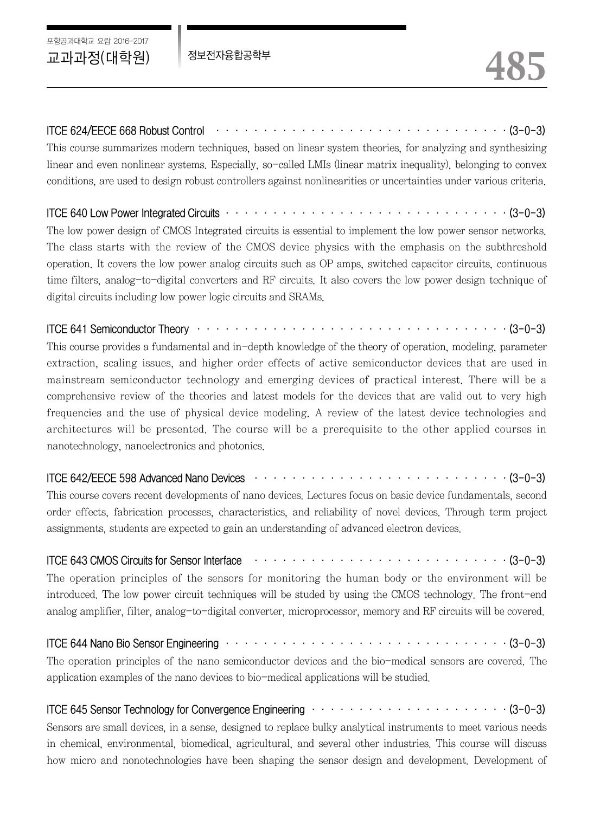### ITCE 624/EECE 668 Robust Control ·······························(3-0-3)

This course summarizes modern techniques, based on linear system theories, for analyzing and synthesizing linear and even nonlinear systems. Especially, so-called LMIs (linear matrix inequality), belonging to convex conditions, are used to design robust controllers against nonlinearities or uncertainties under various criteria.

#### ITCE 640 Low Power Integrated Circuits ······························(3-0-3)

The low power design of CMOS Integrated circuits is essential to implement the low power sensor networks. The class starts with the review of the CMOS device physics with the emphasis on the subthreshold operation. It covers the low power analog circuits such as OP amps, switched capacitor circuits, continuous time filters, analog-to-digital converters and RF circuits. It also covers the low power design technique of digital circuits including low power logic circuits and SRAMs.

#### ITCE 641 Semiconductor Theory ·································(3-0-3)

This course provides a fundamental and in-depth knowledge of the theory of operation, modeling, parameter extraction, scaling issues, and higher order effects of active semiconductor devices that are used in mainstream semiconductor technology and emerging devices of practical interest. There will be a comprehensive review of the theories and latest models for the devices that are valid out to very high frequencies and the use of physical device modeling. A review of the latest device technologies and architectures will be presented. The course will be a prerequisite to the other applied courses in nanotechnology, nanoelectronics and photonics.

#### ITCE 642/EECE 598 Advanced Nano Devices ···························(3-0-3)

This course covers recent developments of nano devices. Lectures focus on basic device fundamentals, second order effects, fabrication processes, characteristics, and reliability of novel devices. Through term project assignments, students are expected to gain an understanding of advanced electron devices.

#### ITCE 643 CMOS Circuits for Sensor Interface  $\cdots \cdots \cdots \cdots \cdots \cdots \cdots \cdots \cdots \cdots \cdots \cdots$  (3-0-3)

The operation principles of the sensors for monitoring the human body or the environment will be introduced. The low power circuit techniques will be studed by using the CMOS technology. The front-end analog amplifier, filter, analog-to-digital converter, microprocessor, memory and RF circuits will be covered.

#### ITCE 644 Nano Bio Sensor Engineering ······························(3-0-3)

The operation principles of the nano semiconductor devices and the bio-medical sensors are covered. The application examples of the nano devices to bio-medical applications will be studied.

#### ITCE 645 Sensor Technology for Convergence Engineering  $\cdots \cdots \cdots \cdots \cdots \cdots \cdots \cdots \cdots \cdots (3-0-3)$

Sensors are small devices, in a sense, designed to replace bulky analytical instruments to meet various needs in chemical, environmental, biomedical, agricultural, and several other industries. This course will discuss how micro and nonotechnologies have been shaping the sensor design and development. Development of